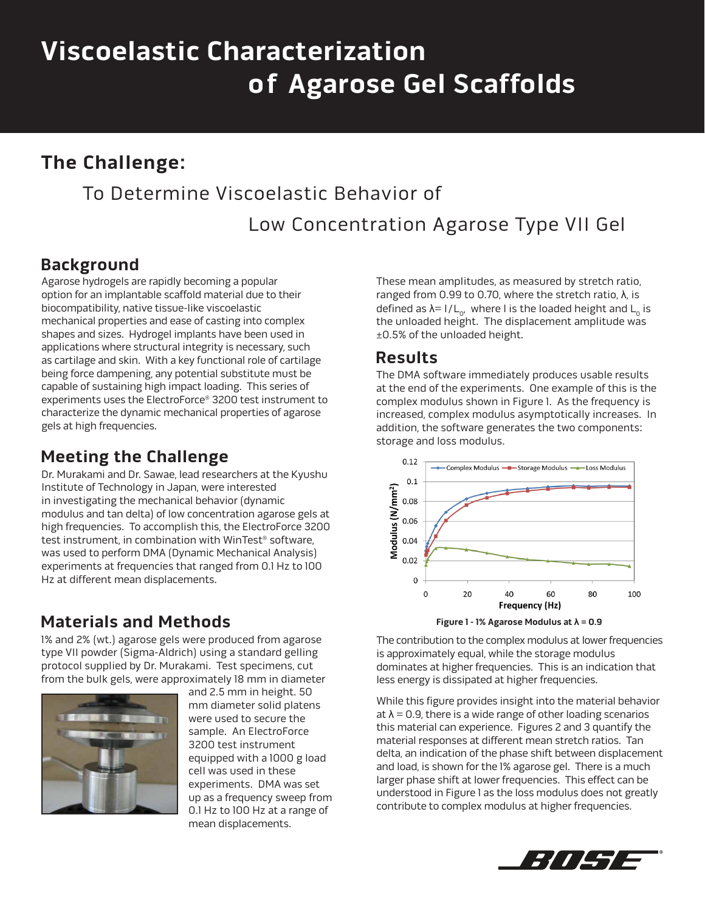# **Viscoelastic Characterization of Agarose Gel Scaffolds**

# **The Challenge:**

# To Determine Viscoelastic Behavior of

Low Concentration Agarose Type VII Gel

### **Background**

Agarose hydrogels are rapidly becoming a popular option for an implantable scaffold material due to their biocompatibility, native tissue-like viscoelastic mechanical properties and ease of casting into complex shapes and sizes. Hydrogel implants have been used in applications where structural integrity is necessary, such as cartilage and skin. With a key functional role of cartilage being force dampening, any potential substitute must be capable of sustaining high impact loading. This series of experiments uses the ElectroForce® 3200 test instrument to characterize the dynamic mechanical properties of agarose gels at high frequencies.

#### **Meeting the Challenge**

Dr. Murakami and Dr. Sawae, lead researchers at the Kyushu Institute of Technology in Japan, were interested in investigating the mechanical behavior (dynamic modulus and tan delta) of low concentration agarose gels at high frequencies. To accomplish this, the ElectroForce 3200 test instrument, in combination with WinTest® software, was used to perform DMA (Dynamic Mechanical Analysis) experiments at frequencies that ranged from 0.1 Hz to 100 Hz at different mean displacements.

#### **Materials and Methods**

1% and 2% (wt.) agarose gels were produced from agarose type VII powder (Sigma-Aldrich) using a standard gelling protocol supplied by Dr. Murakami. Test specimens, cut from the bulk gels, were approximately 18 mm in diameter



and 2.5 mm in height. 50 mm diameter solid platens were used to secure the sample. An ElectroForce 3200 test instrument equipped with a 1000 g load cell was used in these experiments. DMA was set up as a frequency sweep from 0.1 Hz to 100 Hz at a range of mean displacements.

These mean amplitudes, as measured by stretch ratio, ranged from 0.99 to 0.70, where the stretch ratio, λ, is defined as  $\lambda = 1/L_0$ , where I is the loaded height and L<sub>0</sub> is the unloaded height. The displacement amplitude was ±0.5% of the unloaded height.

#### **Results**

The DMA software immediately produces usable results at the end of the experiments. One example of this is the complex modulus shown in Figure 1. As the frequency is increased, complex modulus asymptotically increases. In addition, the software generates the two components: storage and loss modulus.





The contribution to the complex modulus at lower frequencies is approximately equal, while the storage modulus dominates at higher frequencies. This is an indication that less energy is dissipated at higher frequencies.

While this figure provides insight into the material behavior at  $\lambda$  = 0.9, there is a wide range of other loading scenarios this material can experience. Figures 2 and 3 quantify the material responses at different mean stretch ratios. Tan delta, an indication of the phase shift between displacement and load, is shown for the 1% agarose gel. There is a much larger phase shift at lower frequencies. This effect can be understood in Figure 1 as the loss modulus does not greatly contribute to complex modulus at higher frequencies.